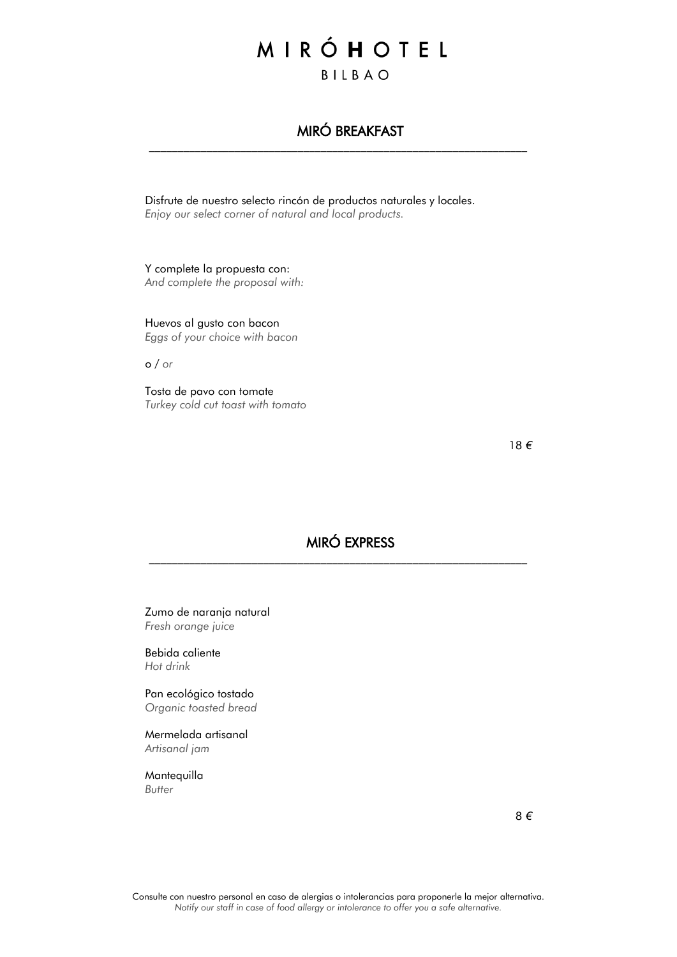# MIRÓHOTEL BILBAO

# MIRÓ BREAKFAST

 $\_$  , and the set of the set of the set of the set of the set of the set of the set of the set of the set of the set of the set of the set of the set of the set of the set of the set of the set of the set of the set of th

Disfrute de nuestro selecto rincón de productos naturales y locales. *Enjoy our select corner of natural and local products.*

Y complete la propuesta con: *And complete the proposal with:*

Huevos al gusto con bacon *Eggs of your choice with bacon*

o / *or*

Tosta de pavo con tomate *Turkey cold cut toast with tomato*

18 *€*

### MIRÓ EXPRESS

 $\_$  , and the set of the set of the set of the set of the set of the set of the set of the set of the set of the set of the set of the set of the set of the set of the set of the set of the set of the set of the set of th

Zumo de naranja natural *Fresh orange juice*

Bebida caliente *Hot drink*

Pan ecológico tostado *Organic toasted bread*

Mermelada artisanal *Artisanal jam*

Mantequilla *Butter*